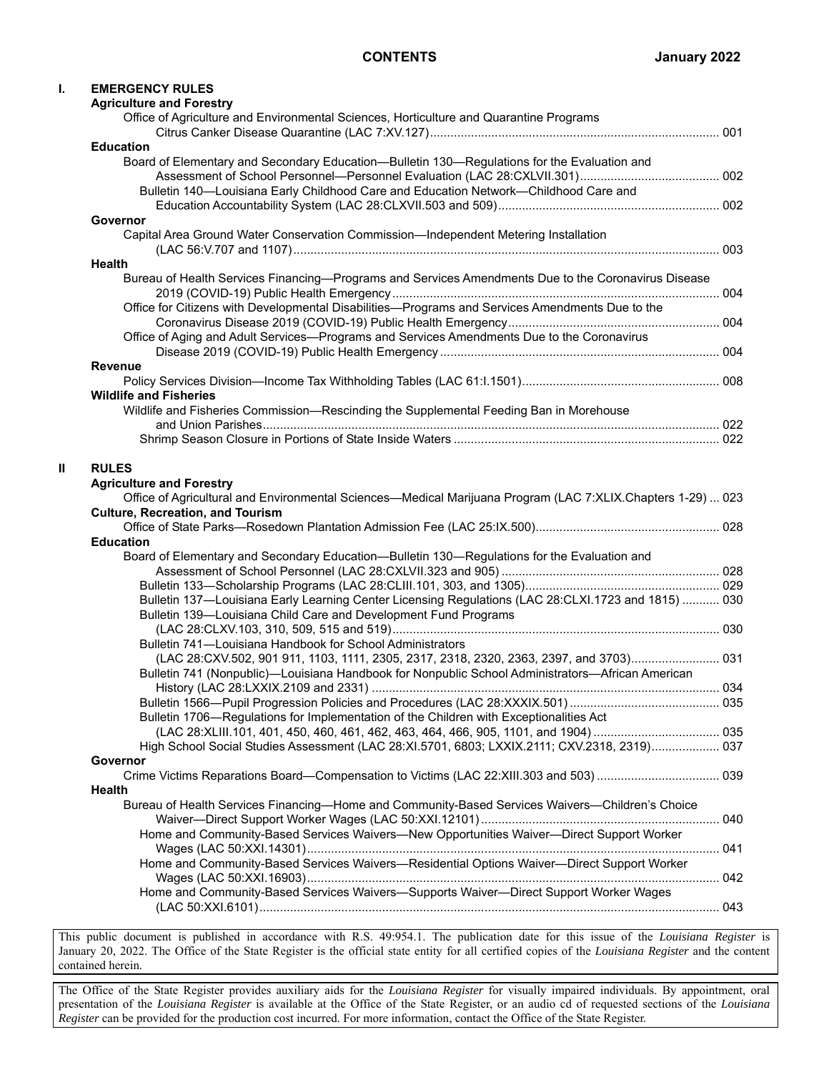| ı. | <b>EMERGENCY RULES</b><br><b>Agriculture and Forestry</b>                                                                                                                                   |  |
|----|---------------------------------------------------------------------------------------------------------------------------------------------------------------------------------------------|--|
|    | Office of Agriculture and Environmental Sciences, Horticulture and Quarantine Programs                                                                                                      |  |
|    | <b>Education</b>                                                                                                                                                                            |  |
|    | Board of Elementary and Secondary Education-Bulletin 130-Regulations for the Evaluation and                                                                                                 |  |
|    |                                                                                                                                                                                             |  |
|    | Bulletin 140-Louisiana Early Childhood Care and Education Network-Childhood Care and                                                                                                        |  |
|    |                                                                                                                                                                                             |  |
|    | Governor<br>Capital Area Ground Water Conservation Commission-Independent Metering Installation                                                                                             |  |
|    |                                                                                                                                                                                             |  |
|    | <b>Health</b>                                                                                                                                                                               |  |
|    | Bureau of Health Services Financing-Programs and Services Amendments Due to the Coronavirus Disease                                                                                         |  |
|    | Office for Citizens with Developmental Disabilities-Programs and Services Amendments Due to the                                                                                             |  |
|    |                                                                                                                                                                                             |  |
|    | Office of Aging and Adult Services-Programs and Services Amendments Due to the Coronavirus                                                                                                  |  |
|    | <b>Revenue</b>                                                                                                                                                                              |  |
|    |                                                                                                                                                                                             |  |
|    | <b>Wildlife and Fisheries</b>                                                                                                                                                               |  |
|    | Wildlife and Fisheries Commission-Rescinding the Supplemental Feeding Ban in Morehouse                                                                                                      |  |
|    |                                                                                                                                                                                             |  |
|    |                                                                                                                                                                                             |  |
| Ш  | <b>RULES</b>                                                                                                                                                                                |  |
|    | <b>Agriculture and Forestry</b>                                                                                                                                                             |  |
|    | Office of Agricultural and Environmental Sciences—Medical Marijuana Program (LAC 7:XLIX.Chapters 1-29)  023                                                                                 |  |
|    | <b>Culture, Recreation, and Tourism</b>                                                                                                                                                     |  |
|    |                                                                                                                                                                                             |  |
|    | <b>Education</b>                                                                                                                                                                            |  |
|    | Board of Elementary and Secondary Education-Bulletin 130-Regulations for the Evaluation and                                                                                                 |  |
|    |                                                                                                                                                                                             |  |
|    | Bulletin 137-Louisiana Early Learning Center Licensing Regulations (LAC 28:CLXI.1723 and 1815)  030                                                                                         |  |
|    | Bulletin 139-Louisiana Child Care and Development Fund Programs                                                                                                                             |  |
|    |                                                                                                                                                                                             |  |
|    | Bulletin 741-Louisiana Handbook for School Administrators                                                                                                                                   |  |
|    | (LAC 28:CXV.502, 901 911, 1103, 1111, 2305, 2317, 2318, 2320, 2363, 2397, and 3703) 031<br>Bulletin 741 (Nonpublic)—Louisiana Handbook for Nonpublic School Administrators—African American |  |
|    |                                                                                                                                                                                             |  |
|    |                                                                                                                                                                                             |  |
|    | Bulletin 1706-Regulations for Implementation of the Children with Exceptionalities Act                                                                                                      |  |
|    |                                                                                                                                                                                             |  |
|    | High School Social Studies Assessment (LAC 28:XI.5701, 6803; LXXIX.2111; CXV.2318, 2319) 037                                                                                                |  |
|    | Governor                                                                                                                                                                                    |  |
|    |                                                                                                                                                                                             |  |
|    | <b>Health</b><br>Bureau of Health Services Financing-Home and Community-Based Services Waivers-Children's Choice                                                                            |  |
|    |                                                                                                                                                                                             |  |
|    | Home and Community-Based Services Waivers-New Opportunities Waiver--Direct Support Worker                                                                                                   |  |
|    |                                                                                                                                                                                             |  |
|    | Home and Community-Based Services Waivers-Residential Options Waiver-Direct Support Worker                                                                                                  |  |
|    |                                                                                                                                                                                             |  |
|    | Home and Community-Based Services Waivers-Supports Waiver-Direct Support Worker Wages                                                                                                       |  |
|    |                                                                                                                                                                                             |  |

This public document is published in accordance with R.S. 49:954.1. The publication date for this issue of the *Louisiana Register* is January 20, 2022. The Office of the State Register is the official state entity for all certified copies of the *Louisiana Register* and the content contained herein.

The Office of the State Register provides auxiliary aids for the *Louisiana Register* for visually impaired individuals. By appointment, oral presentation of the *Louisiana Register* is available at the Office of the State Register, or an audio cd of requested sections of the *Louisiana Register* can be provided for the production cost incurred. For more information, contact the Office of the State Register.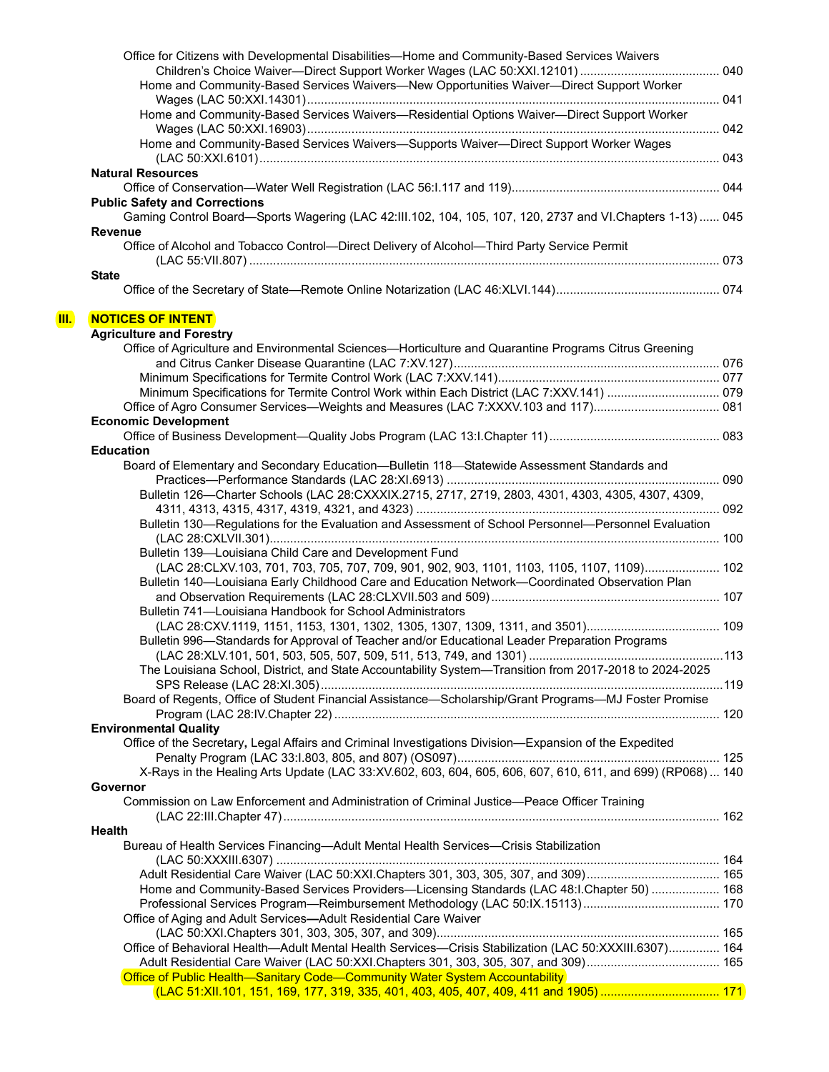|    | Office for Citizens with Developmental Disabilities—Home and Community-Based Services Waivers                                                                                                 |  |
|----|-----------------------------------------------------------------------------------------------------------------------------------------------------------------------------------------------|--|
|    |                                                                                                                                                                                               |  |
|    | Home and Community-Based Services Waivers-New Opportunities Waiver--Direct Support Worker                                                                                                     |  |
|    | Home and Community-Based Services Waivers-Residential Options Waiver--Direct Support Worker                                                                                                   |  |
|    | Home and Community-Based Services Waivers-Supports Waiver-Direct Support Worker Wages                                                                                                         |  |
|    | <b>Natural Resources</b>                                                                                                                                                                      |  |
|    |                                                                                                                                                                                               |  |
|    | <b>Public Safety and Corrections</b><br>Gaming Control Board—Sports Wagering (LAC 42:III.102, 104, 105, 107, 120, 2737 and VI.Chapters 1-13)  045                                             |  |
|    | <b>Revenue</b>                                                                                                                                                                                |  |
|    | Office of Alcohol and Tobacco Control-Direct Delivery of Alcohol-Third Party Service Permit                                                                                                   |  |
|    | <b>State</b>                                                                                                                                                                                  |  |
| Ш. | <b>NOTICES OF INTENT</b>                                                                                                                                                                      |  |
|    | <b>Agriculture and Forestry</b>                                                                                                                                                               |  |
|    | Office of Agriculture and Environmental Sciences—Horticulture and Quarantine Programs Citrus Greening                                                                                         |  |
|    |                                                                                                                                                                                               |  |
|    |                                                                                                                                                                                               |  |
|    | Minimum Specifications for Termite Control Work within Each District (LAC 7:XXV.141)  079                                                                                                     |  |
|    |                                                                                                                                                                                               |  |
|    | <b>Economic Development</b>                                                                                                                                                                   |  |
|    |                                                                                                                                                                                               |  |
|    | <b>Education</b>                                                                                                                                                                              |  |
|    | Board of Elementary and Secondary Education-Bulletin 118 Statewide Assessment Standards and                                                                                                   |  |
|    |                                                                                                                                                                                               |  |
|    | Bulletin 126-Charter Schools (LAC 28:CXXXIX.2715, 2717, 2719, 2803, 4301, 4303, 4305, 4307, 4309,                                                                                             |  |
|    |                                                                                                                                                                                               |  |
|    | Bulletin 130-Regulations for the Evaluation and Assessment of School Personnel-Personnel Evaluation                                                                                           |  |
|    |                                                                                                                                                                                               |  |
|    | Bulletin 139-Louisiana Child Care and Development Fund                                                                                                                                        |  |
|    |                                                                                                                                                                                               |  |
|    | (LAC 28:CLXV.103, 701, 703, 705, 707, 709, 901, 902, 903, 1101, 1103, 1105, 1107, 1109) 102<br>Bulletin 140-Louisiana Early Childhood Care and Education Network-Coordinated Observation Plan |  |
|    |                                                                                                                                                                                               |  |
|    |                                                                                                                                                                                               |  |
|    | Bulletin 741-Louisiana Handbook for School Administrators                                                                                                                                     |  |
|    |                                                                                                                                                                                               |  |
|    | Bulletin 996—Standards for Approval of Teacher and/or Educational Leader Preparation Programs                                                                                                 |  |
|    |                                                                                                                                                                                               |  |
|    | The Louisiana School, District, and State Accountability System-Transition from 2017-2018 to 2024-2025                                                                                        |  |
|    |                                                                                                                                                                                               |  |
|    | Board of Regents, Office of Student Financial Assistance-Scholarship/Grant Programs-MJ Foster Promise                                                                                         |  |
|    |                                                                                                                                                                                               |  |
|    | <b>Environmental Quality</b>                                                                                                                                                                  |  |
|    | Office of the Secretary, Legal Affairs and Criminal Investigations Division-Expansion of the Expedited                                                                                        |  |
|    |                                                                                                                                                                                               |  |
|    | X-Rays in the Healing Arts Update (LAC 33:XV.602, 603, 604, 605, 606, 607, 610, 611, and 699) (RP068)  140                                                                                    |  |
|    | Governor                                                                                                                                                                                      |  |
|    | Commission on Law Enforcement and Administration of Criminal Justice-Peace Officer Training                                                                                                   |  |
|    |                                                                                                                                                                                               |  |
|    | <b>Health</b>                                                                                                                                                                                 |  |
|    | Bureau of Health Services Financing—Adult Mental Health Services—Crisis Stabilization                                                                                                         |  |
|    |                                                                                                                                                                                               |  |
|    | Home and Community-Based Services Providers—Licensing Standards (LAC 48:I.Chapter 50)  168                                                                                                    |  |
|    |                                                                                                                                                                                               |  |
|    | Office of Aging and Adult Services-Adult Residential Care Waiver                                                                                                                              |  |
|    |                                                                                                                                                                                               |  |
|    | Office of Behavioral Health-Adult Mental Health Services-Crisis Stabilization (LAC 50:XXXIII.6307) 164                                                                                        |  |
|    |                                                                                                                                                                                               |  |
|    | Office of Public Health-Sanitary Code-Community Water System Accountability                                                                                                                   |  |
|    |                                                                                                                                                                                               |  |
|    |                                                                                                                                                                                               |  |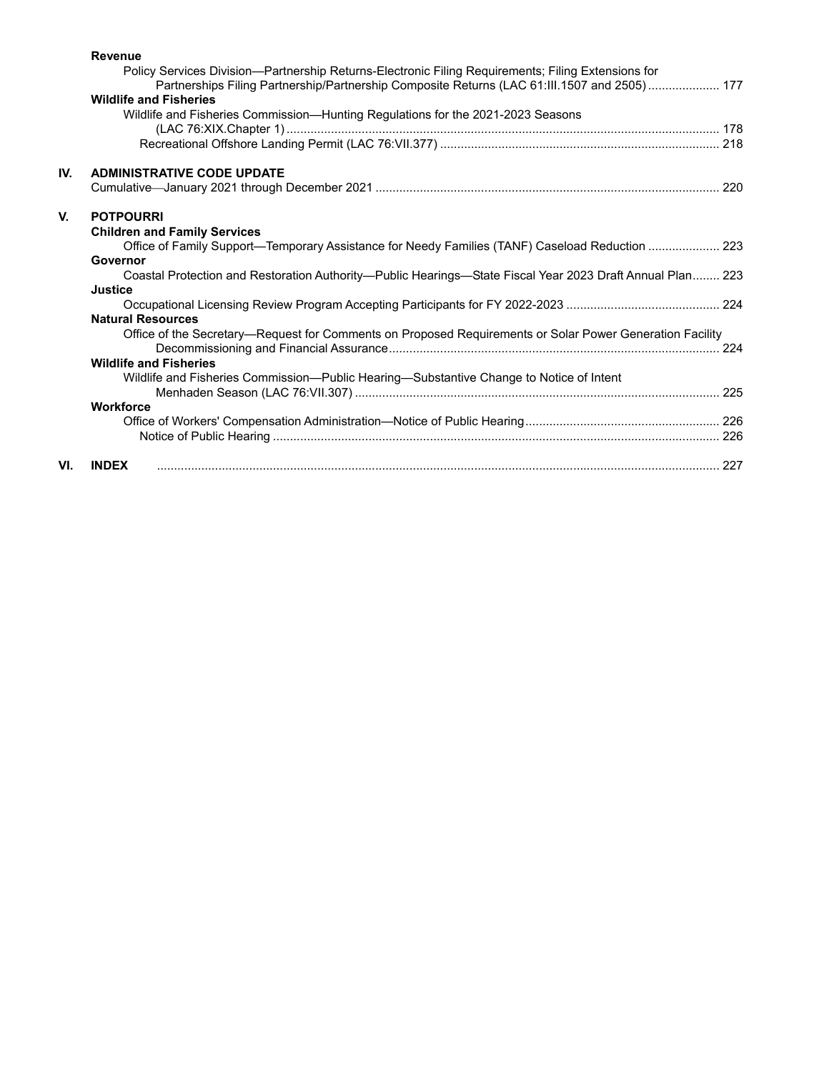|     | <b>Revenue</b><br>Policy Services Division—Partnership Returns-Electronic Filing Requirements; Filing Extensions for<br>Partnerships Filing Partnership/Partnership Composite Returns (LAC 61:III.1507 and 2505) 177<br><b>Wildlife and Fisheries</b> |  |
|-----|-------------------------------------------------------------------------------------------------------------------------------------------------------------------------------------------------------------------------------------------------------|--|
|     | Wildlife and Fisheries Commission-Hunting Regulations for the 2021-2023 Seasons                                                                                                                                                                       |  |
|     |                                                                                                                                                                                                                                                       |  |
| IV. | <b>ADMINISTRATIVE CODE UPDATE</b>                                                                                                                                                                                                                     |  |
|     |                                                                                                                                                                                                                                                       |  |
| V.  | <b>POTPOURRI</b>                                                                                                                                                                                                                                      |  |
|     | <b>Children and Family Services</b>                                                                                                                                                                                                                   |  |
|     | Office of Family Support-Temporary Assistance for Needy Families (TANF) Caseload Reduction  223                                                                                                                                                       |  |
|     | Governor                                                                                                                                                                                                                                              |  |
|     | Coastal Protection and Restoration Authority—Public Hearings—State Fiscal Year 2023 Draft Annual Plan 223<br><b>Justice</b>                                                                                                                           |  |
|     |                                                                                                                                                                                                                                                       |  |
|     | <b>Natural Resources</b>                                                                                                                                                                                                                              |  |
|     | Office of the Secretary-Request for Comments on Proposed Requirements or Solar Power Generation Facility                                                                                                                                              |  |
|     |                                                                                                                                                                                                                                                       |  |
|     | <b>Wildlife and Fisheries</b>                                                                                                                                                                                                                         |  |
|     | Wildlife and Fisheries Commission—Public Hearing—Substantive Change to Notice of Intent                                                                                                                                                               |  |
|     | Workforce                                                                                                                                                                                                                                             |  |
|     |                                                                                                                                                                                                                                                       |  |
|     |                                                                                                                                                                                                                                                       |  |
| VI. | <b>INDEX</b>                                                                                                                                                                                                                                          |  |
|     |                                                                                                                                                                                                                                                       |  |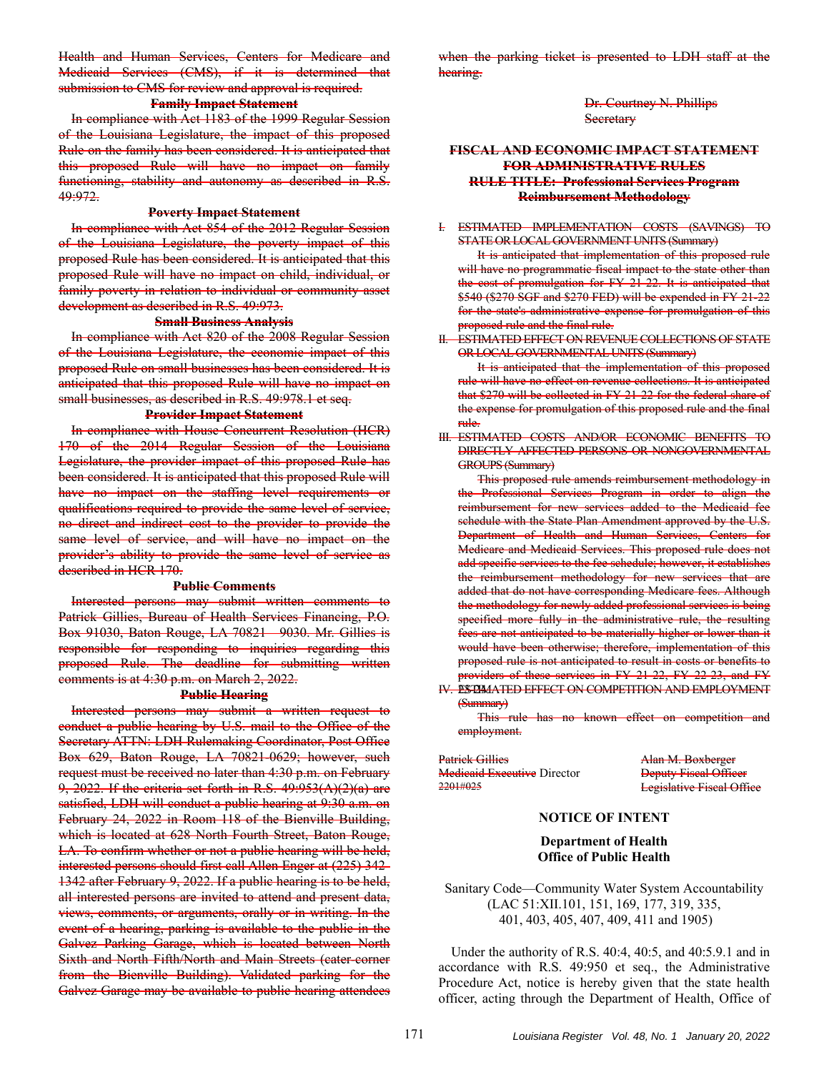Health and Human Services, Centers for Medicare and Medicaid Services (CMS), if it is determined that submission to CMS for review and approval is required.

# **Family Impact Statement**

In compliance with Act 1183 of the 1999 Regular Session of the Louisiana Legislature, the impact of this proposed Rule on the family has been considered. It is anticipated that this proposed Rule will have no impact on family functioning, stability and autonomy as described in R.S. 49:972.

### **Poverty Impact Statement**

In compliance with Act 854 of the 2012 Regular Session of the Louisiana Legislature, the poverty impact of this proposed Rule has been considered. It is anticipated that this proposed Rule will have no impact on child, individual, or family poverty in relation to individual or community asset development as described in R.S. 49:973.

#### **Small Business Analysis**

In compliance with Act 820 of the 2008 Regular Session of the Louisiana Legislature, the economic impact of this proposed Rule on small businesses has been considered. It is anticipated that this proposed Rule will have no impact on small businesses, as described in R.S. 49:978.1 et seq.

### **Provider Impact Statement**

In compliance with House Concurrent Resolution (HCR) 170 of the 2014 Regular Session of the Louisiana Legislature, the provider impact of this proposed Rule has been considered. It is anticipated that this proposed Rule will have no impact on the staffing level requirements or qualifications required to provide the same level of service, no direct and indirect cost to the provider to provide the same level of service, and will have no impact on the provider's ability to provide the same level of service as described in HCR 170.

#### **Public Comments**

Interested persons may submit written comments to Patrick Gillies, Bureau of Health Services Financing, P.O. Box 91030, Baton Rouge, LA 70821—9030. Mr. Gillies is responsible for responding to inquiries regarding this proposed Rule. The deadline for submitting written comments is at 4:30 p.m. on March 2, 2022.

#### **Public Hearing**

Interested persons may submit a written request to conduct a public hearing by U.S. mail to the Office of the Secretary ATTN: LDH Rulemaking Coordinator, Post Office Box 629, Baton Rouge, LA 70821-0629; however, such request must be received no later than 4:30 p.m. on February 9, 2022. If the criteria set forth in R.S. 49:953(A)(2)(a) are satisfied, LDH will conduct a public hearing at 9:30 a.m. on February 24, 2022 in Room 118 of the Bienville Building, which is located at 628 North Fourth Street, Baton Rouge, LA. To confirm whether or not a public hearing will be held, interested persons should first call Allen Enger at (225) 342- 1342 after February 9, 2022. If a public hearing is to be held, all interested persons are invited to attend and present data, views, comments, or arguments, orally or in writing. In the event of a hearing, parking is available to the public in the Galvez Parking Garage, which is located between North Sixth and North Fifth/North and Main Streets (cater-corner from the Bienville Building). Validated parking for the Galvez Garage may be available to public hearing attendees

when the parking ticket is presented to LDH staff at the hearing.

> Dr. Courtney N. Phillips **Secretary**

# **FISCAL AND ECONOMIC IMPACT STATEMENT FOR ADMINISTRATIVE RULES RULE TITLE: Professional Services Program Reimbursement Methodology**

#### I. ESTIMATED IMPLEMENTATION COSTS (SAVINGS) TO STATE OR LOCAL GOVERNMENT UNITS (Summary)

It is anticipated that implementation of this proposed rule will have no programmatic fiscal impact to the state other than the cost of promulgation for FY 21-22. It is anticipated that \$540 (\$270 SGF and \$270 FED) will be expended in FY 21-22 for the state's administrative expense for promulgation of this proposed rule and the final rule.

#### II. ESTIMATED EFFECT ON REVENUE COLLECTIONS OF STATE OR LOCAL GOVERNMENTAL UNITS (Summary)

It is anticipated that the implementation of this proposed rule will have no effect on revenue collections. It is anticipated that \$270 will be collected in FY 21-22 for the federal share of the expense for promulgation of this proposed rule and the final rule.

III. ESTIMATED COSTS AND/OR ECONOMIC BENEFITS TO DIRECTLY AFFECTED PERSONS OR NONGOVERNMENTAL GROUPS (Summary)

This proposed rule amends reimbursement methodology in the Professional Services Program in order to align the reimbursement for new services added to the Medicaid fee schedule with the State Plan Amendment approved by the U.S. Department of Health and Human Services, Centers for Medicare and Medicaid Services. This proposed rule does not add specific services to the fee schedule; however, it establishes the reimbursement methodology for new services that are added that do not have corresponding Medicare fees. Although the methodology for newly added professional services is being specified more fully in the administrative rule, the resulting fees are not anticipated to be materially higher or lower than it would have been otherwise; therefore, implementation of this proposed rule is not anticipated to result in costs or benefits to providers of these services in FY 21-22, FY 22-23, and FY

IV. ESTIMATED EFFECT ON COMPETITION AND EMPLOYMENT (Summary)

This rule has no known effect on competition and employment.

Patrick Gillies **Alan M. Boxberger** Medicaid Executive Director<br>
2201#025<br>
Legislative Fiscal Officer

**Legislative Fiscal Office** 

### **NOTICE OF INTENT**

**Department of Health Office of Public Health** 

Sanitary Code—Community Water System Accountability (LAC 51:XII.101, 151, 169, 177, 319, 335, 401, 403, 405, 407, 409, 411 and 1905)

Under the authority of R.S. 40:4, 40:5, and 40:5.9.1 and in accordance with R.S. 49:950 et seq., the Administrative Procedure Act, notice is hereby given that the state health officer, acting through the Department of Health, Office of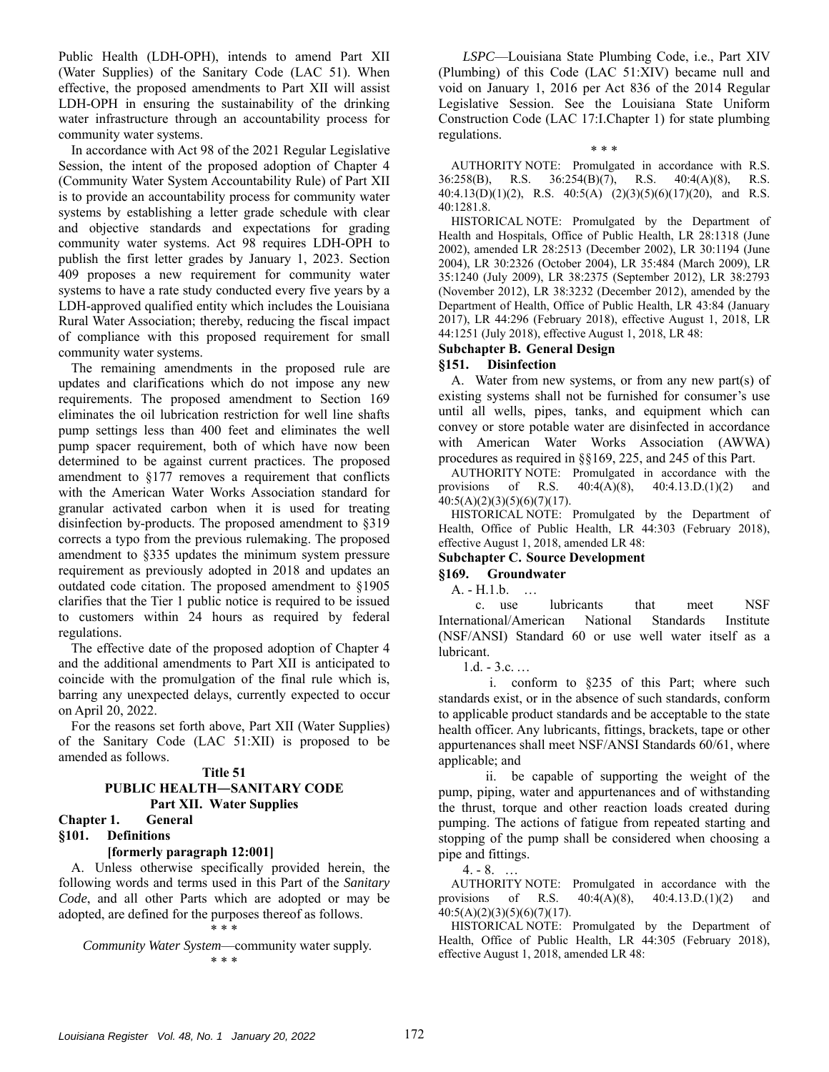Public Health (LDH-OPH), intends to amend Part XII (Water Supplies) of the Sanitary Code (LAC 51). When effective, the proposed amendments to Part XII will assist LDH-OPH in ensuring the sustainability of the drinking water infrastructure through an accountability process for community water systems.

In accordance with Act 98 of the 2021 Regular Legislative Session, the intent of the proposed adoption of Chapter 4 (Community Water System Accountability Rule) of Part XII is to provide an accountability process for community water systems by establishing a letter grade schedule with clear and objective standards and expectations for grading community water systems. Act 98 requires LDH-OPH to publish the first letter grades by January 1, 2023. Section 409 proposes a new requirement for community water systems to have a rate study conducted every five years by a LDH-approved qualified entity which includes the Louisiana Rural Water Association; thereby, reducing the fiscal impact of compliance with this proposed requirement for small community water systems.

The remaining amendments in the proposed rule are updates and clarifications which do not impose any new requirements. The proposed amendment to Section 169 eliminates the oil lubrication restriction for well line shafts pump settings less than 400 feet and eliminates the well pump spacer requirement, both of which have now been determined to be against current practices. The proposed amendment to §177 removes a requirement that conflicts with the American Water Works Association standard for granular activated carbon when it is used for treating disinfection by-products. The proposed amendment to §319 corrects a typo from the previous rulemaking. The proposed amendment to §335 updates the minimum system pressure requirement as previously adopted in 2018 and updates an outdated code citation. The proposed amendment to §1905 clarifies that the Tier 1 public notice is required to be issued to customers within 24 hours as required by federal regulations.

The effective date of the proposed adoption of Chapter 4 and the additional amendments to Part XII is anticipated to coincide with the promulgation of the final rule which is, barring any unexpected delays, currently expected to occur on April 20, 2022.

For the reasons set forth above, Part XII (Water Supplies) of the Sanitary Code (LAC 51:XII) is proposed to be amended as follows.

#### **Title 51 PUBLIC HEALTH―SANITARY CODE**

# **Part XII. Water Supplies**

# **Chapter 1. General**

# **§101. Definitions**

### **[formerly paragraph 12:001]**

A. Unless otherwise specifically provided herein, the following words and terms used in this Part of the *Sanitary Code*, and all other Parts which are adopted or may be adopted, are defined for the purposes thereof as follows. \* \* \*

*Community Water System*—community water supply. \* \* \*

*LSPC*—Louisiana State Plumbing Code, i.e., Part XIV (Plumbing) of this Code (LAC 51:XIV) became null and void on January 1, 2016 per Act 836 of the 2014 Regular Legislative Session. See the Louisiana State Uniform Construction Code (LAC 17:I.Chapter 1) for state plumbing regulations.

AUTHORITY NOTE: Promulgated in accordance with R.S. 36:258(B), R.S. 36:254(B)(7), R.S. 40:4(A)(8), R.S. 40:4.13(D)(1)(2), R.S. 40:5(A) (2)(3)(5)(6)(17)(20), and R.S. 40:1281.8.

\* \* \*

HISTORICAL NOTE: Promulgated by the Department of Health and Hospitals, Office of Public Health, LR 28:1318 (June 2002), amended LR 28:2513 (December 2002), LR 30:1194 (June 2004), LR 30:2326 (October 2004), LR 35:484 (March 2009), LR 35:1240 (July 2009), LR 38:2375 (September 2012), LR 38:2793 (November 2012), LR 38:3232 (December 2012), amended by the Department of Health, Office of Public Health, LR 43:84 (January 2017), LR 44:296 (February 2018), effective August 1, 2018, LR 44:1251 (July 2018), effective August 1, 2018, LR 48:

### **Subchapter B. General Design**

# **§151. Disinfection**

A. Water from new systems, or from any new part(s) of existing systems shall not be furnished for consumer's use until all wells, pipes, tanks, and equipment which can convey or store potable water are disinfected in accordance with American Water Works Association (AWWA) procedures as required in §§169, 225, and 245 of this Part.

AUTHORITY NOTE: Promulgated in accordance with the provisions of R.S. 40:4(A)(8), 40:4.13.D.(1)(2) and  $40:5(A)(2)(3)(5)(6)(7)(17).$ 

HISTORICAL NOTE: Promulgated by the Department of Health, Office of Public Health, LR 44:303 (February 2018), effective August 1, 2018, amended LR 48:

# **Subchapter C. Source Development**

# **§169. Groundwater**

A. - H.1.b. …

c. use lubricants that meet NSF International/American National Standards Institute (NSF/ANSI) Standard 60 or use well water itself as a lubricant.

 $1.d. - 3.c. \ldots$ 

 i. conform to §235 of this Part; where such standards exist, or in the absence of such standards, conform to applicable product standards and be acceptable to the state health officer. Any lubricants, fittings, brackets, tape or other appurtenances shall meet NSF/ANSI Standards 60/61, where applicable; and

 ii. be capable of supporting the weight of the pump, piping, water and appurtenances and of withstanding the thrust, torque and other reaction loads created during pumping. The actions of fatigue from repeated starting and stopping of the pump shall be considered when choosing a pipe and fittings.

 $4. - 8.$  ...

AUTHORITY NOTE: Promulgated in accordance with the provisions of R.S. 40:4(A)(8), 40:4.13.D.(1)(2) and 40:5(A)(2)(3)(5)(6)(7)(17).

HISTORICAL NOTE: Promulgated by the Department of Health, Office of Public Health, LR 44:305 (February 2018), effective August 1, 2018, amended LR 48: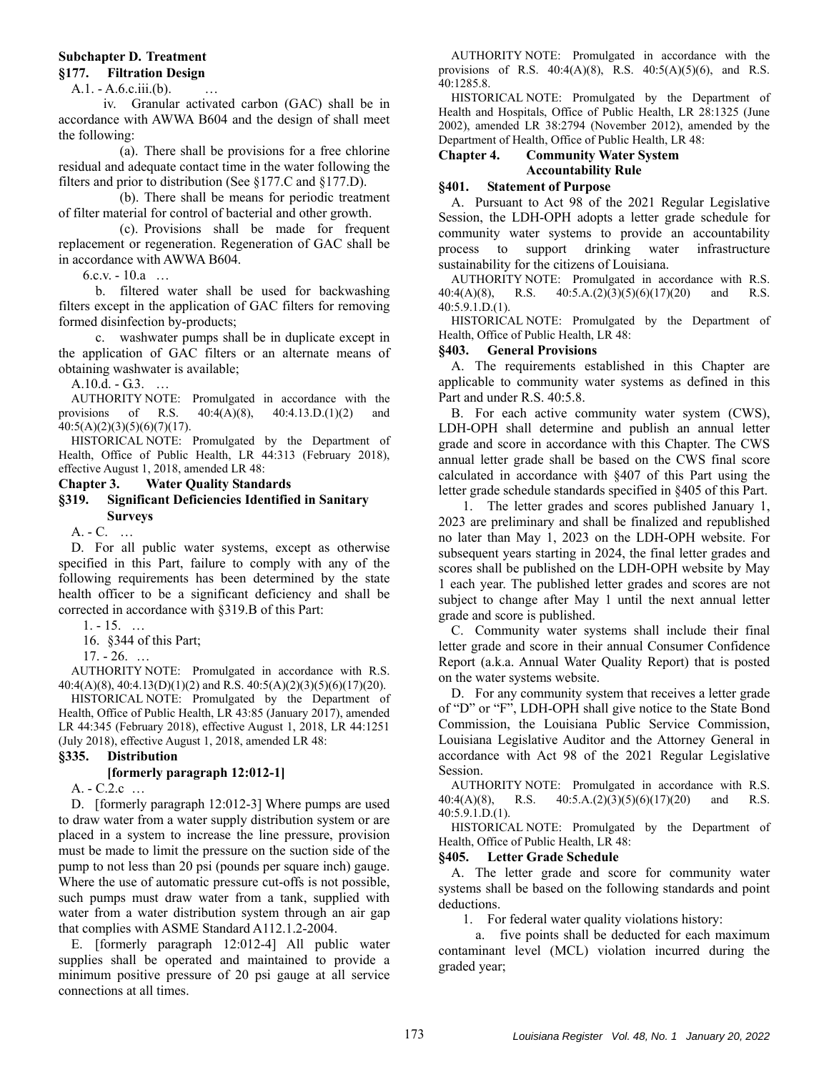# **Subchapter D. Treatment**

# **§177. Filtration Design**

 $A.1. - A.6.c.iii(b).$ 

 iv. Granular activated carbon (GAC) shall be in accordance with AWWA B604 and the design of shall meet the following:

(a). There shall be provisions for a free chlorine residual and adequate contact time in the water following the filters and prior to distribution (See §177.C and §177.D).

(b). There shall be means for periodic treatment of filter material for control of bacterial and other growth.

(c). Provisions shall be made for frequent replacement or regeneration. Regeneration of GAC shall be in accordance with AWWA B604.

 $6.c.v. - 10.a$  ...

b. filtered water shall be used for backwashing filters except in the application of GAC filters for removing formed disinfection by-products;

c. washwater pumps shall be in duplicate except in the application of GAC filters or an alternate means of obtaining washwater is available;

A.10.d. - G.3. …

AUTHORITY NOTE: Promulgated in accordance with the provisions of R.S. 40:4(A)(8), 40:4.13.D.(1)(2) and  $40:5(A)(2)(3)(5)(6)(7)(17).$ 

HISTORICAL NOTE: Promulgated by the Department of Health, Office of Public Health, LR 44:313 (February 2018), effective August 1, 2018, amended LR 48:

# **Chapter 3. Water Quality Standards**

# **§319. Significant Deficiencies Identified in Sanitary Surveys**

A. - C. …

D. For all public water systems, except as otherwise specified in this Part, failure to comply with any of the following requirements has been determined by the state health officer to be a significant deficiency and shall be corrected in accordance with §319.B of this Part:

1. - 15. …

16. §344 of this Part;

17. - 26. …

AUTHORITY NOTE: Promulgated in accordance with R.S. 40:4(A)(8), 40:4.13(D)(1)(2) and R.S. 40:5(A)(2)(3)(5)(6)(17)(20).

HISTORICAL NOTE: Promulgated by the Department of Health, Office of Public Health, LR 43:85 (January 2017), amended LR 44:345 (February 2018), effective August 1, 2018, LR 44:1251 (July 2018), effective August 1, 2018, amended LR 48:

### **§335. Distribution**

# **[formerly paragraph 12:012-1]**

A. - C.2.c …

D. [formerly paragraph 12:012-3] Where pumps are used to draw water from a water supply distribution system or are placed in a system to increase the line pressure, provision must be made to limit the pressure on the suction side of the pump to not less than 20 psi (pounds per square inch) gauge. Where the use of automatic pressure cut-offs is not possible, such pumps must draw water from a tank, supplied with water from a water distribution system through an air gap that complies with ASME Standard A112.1.2-2004.

E. [formerly paragraph 12:012-4] All public water supplies shall be operated and maintained to provide a minimum positive pressure of 20 psi gauge at all service connections at all times.

AUTHORITY NOTE: Promulgated in accordance with the provisions of R.S. 40:4(A)(8), R.S. 40:5(A)(5)(6), and R.S. 40:1285.8.

HISTORICAL NOTE: Promulgated by the Department of Health and Hospitals, Office of Public Health, LR 28:1325 (June 2002), amended LR 38:2794 (November 2012), amended by the Department of Health, Office of Public Health, LR 48:

# **Chapter 4. Community Water System Accountability Rule**

### **§401. Statement of Purpose**

A. Pursuant to Act 98 of the 2021 Regular Legislative Session, the LDH-OPH adopts a letter grade schedule for community water systems to provide an accountability process to support drinking water infrastructure sustainability for the citizens of Louisiana.

AUTHORITY NOTE: Promulgated in accordance with R.S. 40:4(A)(8), R.S. 40:5.A.(2)(3)(5)(6)(17)(20) and R.S. 40:5.9.1.D.(1).

HISTORICAL NOTE: Promulgated by the Department of Health, Office of Public Health, LR 48:

### **§403. General Provisions**

A. The requirements established in this Chapter are applicable to community water systems as defined in this Part and under R.S. 40:5.8.

B. For each active community water system (CWS), LDH-OPH shall determine and publish an annual letter grade and score in accordance with this Chapter. The CWS annual letter grade shall be based on the CWS final score calculated in accordance with §407 of this Part using the letter grade schedule standards specified in §405 of this Part.

1. The letter grades and scores published January 1, 2023 are preliminary and shall be finalized and republished no later than May 1, 2023 on the LDH-OPH website. For subsequent years starting in 2024, the final letter grades and scores shall be published on the LDH-OPH website by May 1 each year. The published letter grades and scores are not subject to change after May 1 until the next annual letter grade and score is published.

C. Community water systems shall include their final letter grade and score in their annual Consumer Confidence Report (a.k.a. Annual Water Quality Report) that is posted on the water systems website.

D. For any community system that receives a letter grade of "D" or "F", LDH-OPH shall give notice to the State Bond Commission, the Louisiana Public Service Commission, Louisiana Legislative Auditor and the Attorney General in accordance with Act 98 of the 2021 Regular Legislative Session.

AUTHORITY NOTE: Promulgated in accordance with R.S. 40:4(A)(8), R.S. 40:5.A.(2)(3)(5)(6)(17)(20) and R.S. 40:5.9.1.D.(1).

HISTORICAL NOTE: Promulgated by the Department of Health, Office of Public Health, LR 48:

### **§405. Letter Grade Schedule**

A. The letter grade and score for community water systems shall be based on the following standards and point deductions.

1. For federal water quality violations history:

a. five points shall be deducted for each maximum contaminant level (MCL) violation incurred during the graded year;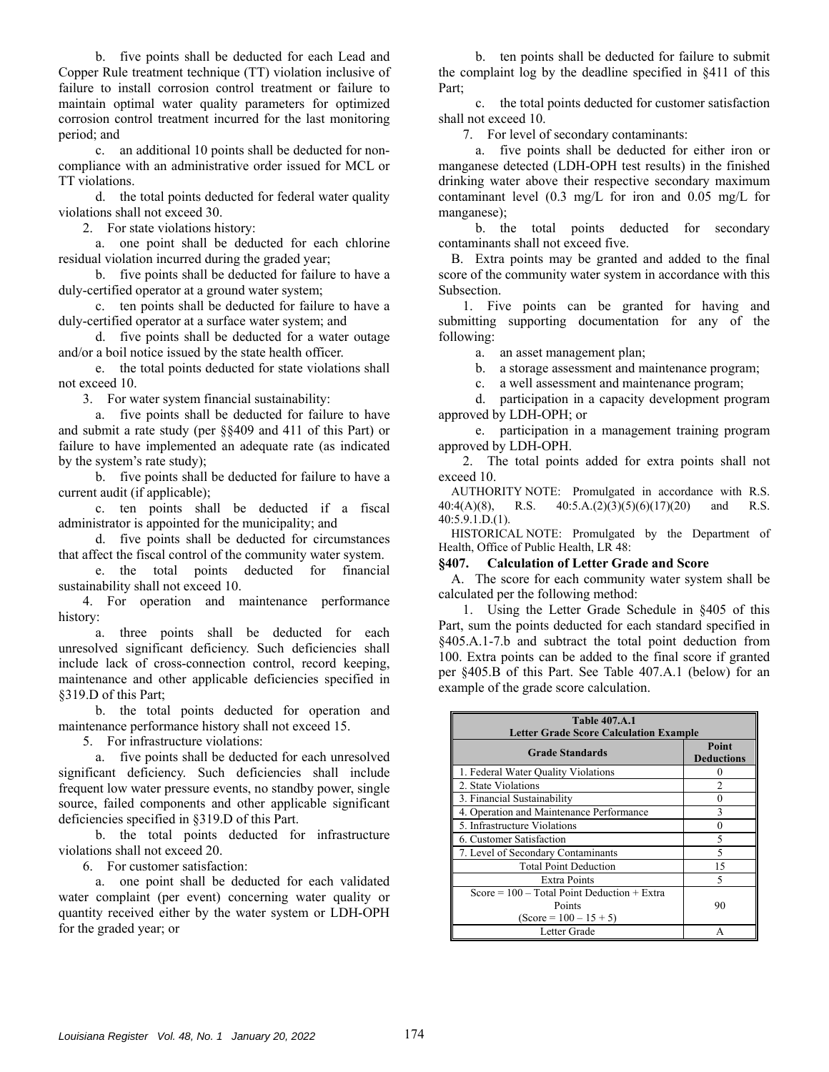b. five points shall be deducted for each Lead and Copper Rule treatment technique (TT) violation inclusive of failure to install corrosion control treatment or failure to maintain optimal water quality parameters for optimized corrosion control treatment incurred for the last monitoring period; and

c. an additional 10 points shall be deducted for noncompliance with an administrative order issued for MCL or TT violations.

d. the total points deducted for federal water quality violations shall not exceed 30.

2. For state violations history:

a. one point shall be deducted for each chlorine residual violation incurred during the graded year;

b. five points shall be deducted for failure to have a duly-certified operator at a ground water system;

c. ten points shall be deducted for failure to have a duly-certified operator at a surface water system; and

d. five points shall be deducted for a water outage and/or a boil notice issued by the state health officer.

e. the total points deducted for state violations shall not exceed 10.

3. For water system financial sustainability:

a. five points shall be deducted for failure to have and submit a rate study (per §§409 and 411 of this Part) or failure to have implemented an adequate rate (as indicated by the system's rate study);

b. five points shall be deducted for failure to have a current audit (if applicable);

c. ten points shall be deducted if a fiscal administrator is appointed for the municipality; and

d. five points shall be deducted for circumstances that affect the fiscal control of the community water system.

e. the total points deducted for financial sustainability shall not exceed 10.

4. For operation and maintenance performance history:

a. three points shall be deducted for each unresolved significant deficiency. Such deficiencies shall include lack of cross-connection control, record keeping, maintenance and other applicable deficiencies specified in §319.D of this Part;

b. the total points deducted for operation and maintenance performance history shall not exceed 15.

5. For infrastructure violations:

a. five points shall be deducted for each unresolved significant deficiency. Such deficiencies shall include frequent low water pressure events, no standby power, single source, failed components and other applicable significant deficiencies specified in §319.D of this Part.

b. the total points deducted for infrastructure violations shall not exceed 20.

6. For customer satisfaction:

a. one point shall be deducted for each validated water complaint (per event) concerning water quality or quantity received either by the water system or LDH-OPH for the graded year; or

b. ten points shall be deducted for failure to submit the complaint log by the deadline specified in §411 of this Part;

c. the total points deducted for customer satisfaction shall not exceed 10.

7. For level of secondary contaminants:

a. five points shall be deducted for either iron or manganese detected (LDH-OPH test results) in the finished drinking water above their respective secondary maximum contaminant level (0.3 mg/L for iron and 0.05 mg/L for manganese);

b. the total points deducted for secondary contaminants shall not exceed five.

B. Extra points may be granted and added to the final score of the community water system in accordance with this Subsection.

1. Five points can be granted for having and submitting supporting documentation for any of the following:

a. an asset management plan;

b. a storage assessment and maintenance program;

c. a well assessment and maintenance program;

d. participation in a capacity development program approved by LDH-OPH; or

e. participation in a management training program approved by LDH-OPH.

2. The total points added for extra points shall not exceed 10.

AUTHORITY NOTE: Promulgated in accordance with R.S. 40:4(A)(8), R.S. 40:5.A.(2)(3)(5)(6)(17)(20) and R.S. 40:5.9.1.D.(1).

HISTORICAL NOTE: Promulgated by the Department of Health, Office of Public Health, LR 48:

### **§407. Calculation of Letter Grade and Score**

A. The score for each community water system shall be calculated per the following method:

1. Using the Letter Grade Schedule in §405 of this Part, sum the points deducted for each standard specified in §405.A.1-7.b and subtract the total point deduction from 100. Extra points can be added to the final score if granted per §405.B of this Part. See Table 407.A.1 (below) for an example of the grade score calculation.

| <b>Table 407.A.1</b><br><b>Letter Grade Score Calculation Example</b>               |                            |  |
|-------------------------------------------------------------------------------------|----------------------------|--|
| <b>Grade Standards</b>                                                              | Point<br><b>Deductions</b> |  |
| 1. Federal Water Quality Violations                                                 |                            |  |
| 2. State Violations                                                                 | 2                          |  |
| 3. Financial Sustainability                                                         |                            |  |
| 4. Operation and Maintenance Performance                                            | 3                          |  |
| 5. Infrastructure Violations                                                        |                            |  |
| 6. Customer Satisfaction                                                            | 5                          |  |
| 7. Level of Secondary Contaminants                                                  |                            |  |
| <b>Total Point Deduction</b>                                                        | 15                         |  |
| Extra Points                                                                        |                            |  |
| Score = $100 - Total Point Deduction + Extra$<br>Points<br>$(Score = 100 - 15 + 5)$ | 90                         |  |
| Letter Grade                                                                        |                            |  |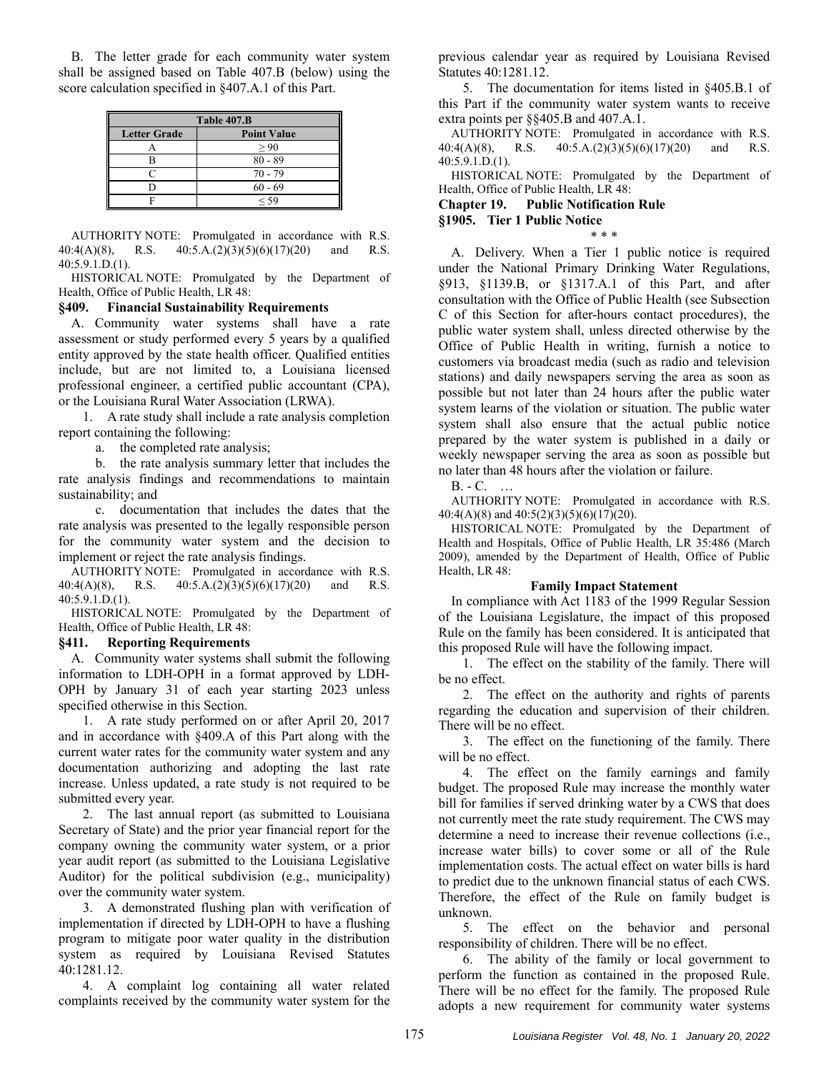B. The letter grade for each community water system shall be assigned based on Table 407.B (below) using the score calculation specified in §407.A.1 of this Part.

| Table 407.B         |                    |  |
|---------------------|--------------------|--|
| <b>Letter Grade</b> | <b>Point Value</b> |  |
|                     | > 90               |  |
| R                   | $80 - 89$          |  |
| ⊂                   | $70 - 79$          |  |
| D                   | $60 - 69$          |  |
| Е                   | < 59               |  |

AUTHORITY NOTE: Promulgated in accordance with R.S. 40:4(A)(8), R.S. 40:5.A.(2)(3)(5)(6)(17)(20) and R.S. 40:5.9.1.D.(1).

HISTORICAL NOTE: Promulgated by the Department of Health, Office of Public Health, LR 48:

### **§409. Financial Sustainability Requirements**

A. Community water systems shall have a rate assessment or study performed every 5 years by a qualified entity approved by the state health officer. Qualified entities include, but are not limited to, a Louisiana licensed professional engineer, a certified public accountant (CPA), or the Louisiana Rural Water Association (LRWA).

1. A rate study shall include a rate analysis completion report containing the following:

a. the completed rate analysis;

b. the rate analysis summary letter that includes the rate analysis findings and recommendations to maintain sustainability; and

c. documentation that includes the dates that the rate analysis was presented to the legally responsible person for the community water system and the decision to implement or reject the rate analysis findings.

AUTHORITY NOTE: Promulgated in accordance with R.S. 40:4(A)(8), R.S. 40:5.A.(2)(3)(5)(6)(17)(20) and R.S. 40:5.9.1.D.(1).

HISTORICAL NOTE: Promulgated by the Department of Health, Office of Public Health, LR 48:

# **§411. Reporting Requirements**

A. Community water systems shall submit the following information to LDH-OPH in a format approved by LDH-OPH by January 31 of each year starting 2023 unless specified otherwise in this Section.

1. A rate study performed on or after April 20, 2017 and in accordance with §409.A of this Part along with the current water rates for the community water system and any documentation authorizing and adopting the last rate increase. Unless updated, a rate study is not required to be submitted every year.

2. The last annual report (as submitted to Louisiana Secretary of State) and the prior year financial report for the company owning the community water system, or a prior year audit report (as submitted to the Louisiana Legislative Auditor) for the political subdivision (e.g., municipality) over the community water system.

3. A demonstrated flushing plan with verification of implementation if directed by LDH-OPH to have a flushing program to mitigate poor water quality in the distribution system as required by Louisiana Revised Statutes 40:1281.12.

4. A complaint log containing all water related complaints received by the community water system for the previous calendar year as required by Louisiana Revised Statutes 40:1281.12.

5. The documentation for items listed in §405.B.1 of this Part if the community water system wants to receive extra points per §§405.B and 407.A.1.

AUTHORITY NOTE: Promulgated in accordance with R.S. 40:4(A)(8), R.S. 40:5.A.(2)(3)(5)(6)(17)(20) and R.S. 40:5.9.1.D.(1).

HISTORICAL NOTE: Promulgated by the Department of Health, Office of Public Health, LR 48:

# **Chapter 19. Public Notification Rule**

#### **§1905. Tier 1 Public Notice**  \* \* \*

A. Delivery. When a Tier 1 public notice is required under the National Primary Drinking Water Regulations, §913, §1139.B, or §1317.A.1 of this Part, and after consultation with the Office of Public Health (see Subsection C of this Section for after-hours contact procedures), the public water system shall, unless directed otherwise by the Office of Public Health in writing, furnish a notice to customers via broadcast media (such as radio and television stations) and daily newspapers serving the area as soon as possible but not later than 24 hours after the public water system learns of the violation or situation. The public water system shall also ensure that the actual public notice prepared by the water system is published in a daily or weekly newspaper serving the area as soon as possible but no later than 48 hours after the violation or failure.

B. - C. …

AUTHORITY NOTE: Promulgated in accordance with R.S. 40:4(A)(8) and 40:5(2)(3)(5)(6)(17)(20).

HISTORICAL NOTE: Promulgated by the Department of Health and Hospitals, Office of Public Health, LR 35:486 (March 2009), amended by the Department of Health, Office of Public Health, LR 48:

# **Family Impact Statement**

In compliance with Act 1183 of the 1999 Regular Session of the Louisiana Legislature, the impact of this proposed Rule on the family has been considered. It is anticipated that this proposed Rule will have the following impact.

1. The effect on the stability of the family. There will be no effect.

2. The effect on the authority and rights of parents regarding the education and supervision of their children. There will be no effect.

3. The effect on the functioning of the family. There will be no effect.

4. The effect on the family earnings and family budget. The proposed Rule may increase the monthly water bill for families if served drinking water by a CWS that does not currently meet the rate study requirement. The CWS may determine a need to increase their revenue collections (i.e., increase water bills) to cover some or all of the Rule implementation costs. The actual effect on water bills is hard to predict due to the unknown financial status of each CWS. Therefore, the effect of the Rule on family budget is unknown.

5. The effect on the behavior and personal responsibility of children. There will be no effect.

6. The ability of the family or local government to perform the function as contained in the proposed Rule. There will be no effect for the family. The proposed Rule adopts a new requirement for community water systems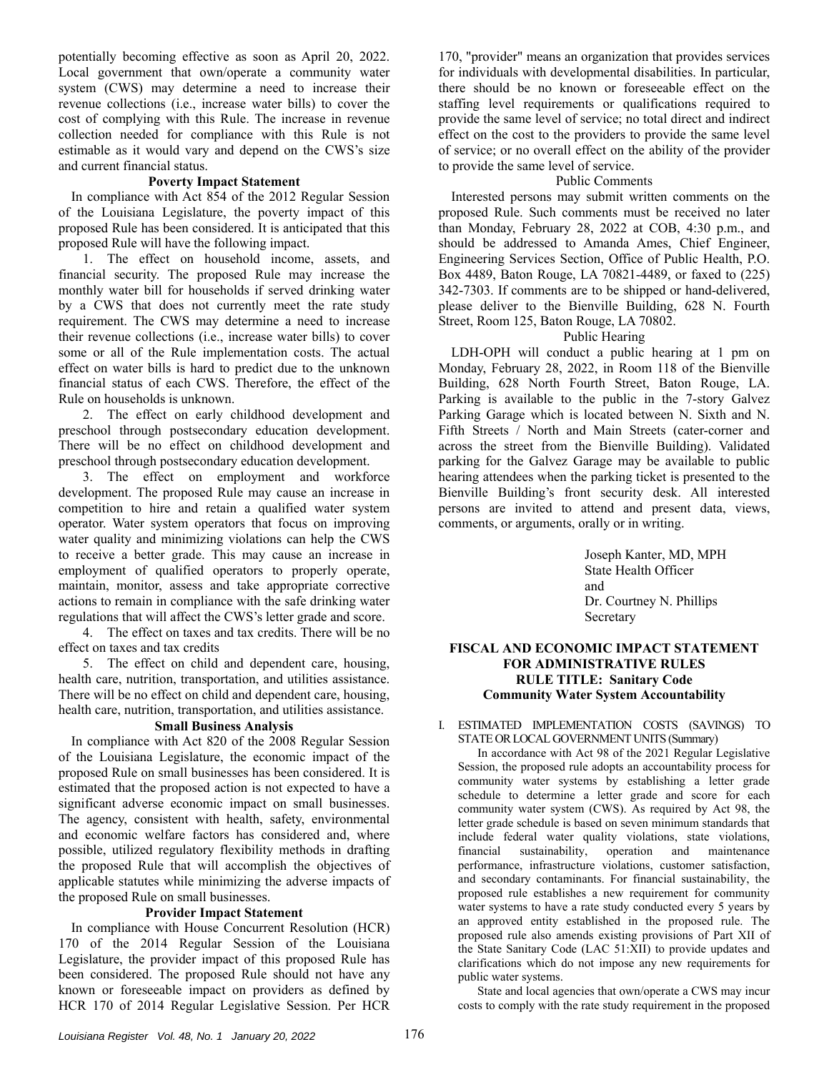potentially becoming effective as soon as April 20, 2022. Local government that own/operate a community water system (CWS) may determine a need to increase their revenue collections (i.e., increase water bills) to cover the cost of complying with this Rule. The increase in revenue collection needed for compliance with this Rule is not estimable as it would vary and depend on the CWS's size and current financial status.

### **Poverty Impact Statement**

In compliance with Act 854 of the 2012 Regular Session of the Louisiana Legislature, the poverty impact of this proposed Rule has been considered. It is anticipated that this proposed Rule will have the following impact.

1. The effect on household income, assets, and financial security. The proposed Rule may increase the monthly water bill for households if served drinking water by a CWS that does not currently meet the rate study requirement. The CWS may determine a need to increase their revenue collections (i.e., increase water bills) to cover some or all of the Rule implementation costs. The actual effect on water bills is hard to predict due to the unknown financial status of each CWS. Therefore, the effect of the Rule on households is unknown.

2. The effect on early childhood development and preschool through postsecondary education development. There will be no effect on childhood development and preschool through postsecondary education development.

3. The effect on employment and workforce development. The proposed Rule may cause an increase in competition to hire and retain a qualified water system operator. Water system operators that focus on improving water quality and minimizing violations can help the CWS to receive a better grade. This may cause an increase in employment of qualified operators to properly operate, maintain, monitor, assess and take appropriate corrective actions to remain in compliance with the safe drinking water regulations that will affect the CWS's letter grade and score.

4. The effect on taxes and tax credits. There will be no effect on taxes and tax credits

5. The effect on child and dependent care, housing, health care, nutrition, transportation, and utilities assistance. There will be no effect on child and dependent care, housing, health care, nutrition, transportation, and utilities assistance.

### **Small Business Analysis**

In compliance with Act 820 of the 2008 Regular Session of the Louisiana Legislature, the economic impact of the proposed Rule on small businesses has been considered. It is estimated that the proposed action is not expected to have a significant adverse economic impact on small businesses. The agency, consistent with health, safety, environmental and economic welfare factors has considered and, where possible, utilized regulatory flexibility methods in drafting the proposed Rule that will accomplish the objectives of applicable statutes while minimizing the adverse impacts of the proposed Rule on small businesses.

### **Provider Impact Statement**

In compliance with House Concurrent Resolution (HCR) 170 of the 2014 Regular Session of the Louisiana Legislature, the provider impact of this proposed Rule has been considered. The proposed Rule should not have any known or foreseeable impact on providers as defined by HCR 170 of 2014 Regular Legislative Session. Per HCR

170, "provider" means an organization that provides services for individuals with developmental disabilities. In particular, there should be no known or foreseeable effect on the staffing level requirements or qualifications required to provide the same level of service; no total direct and indirect effect on the cost to the providers to provide the same level of service; or no overall effect on the ability of the provider to provide the same level of service.

### Public Comments

Interested persons may submit written comments on the proposed Rule. Such comments must be received no later than Monday, February 28, 2022 at COB, 4:30 p.m., and should be addressed to Amanda Ames, Chief Engineer, Engineering Services Section, Office of Public Health, P.O. Box 4489, Baton Rouge, LA 70821-4489, or faxed to (225) 342-7303. If comments are to be shipped or hand-delivered, please deliver to the Bienville Building, 628 N. Fourth Street, Room 125, Baton Rouge, LA 70802.

### Public Hearing

LDH-OPH will conduct a public hearing at 1 pm on Monday, February 28, 2022, in Room 118 of the Bienville Building, 628 North Fourth Street, Baton Rouge, LA. Parking is available to the public in the 7-story Galvez Parking Garage which is located between N. Sixth and N. Fifth Streets / North and Main Streets (cater-corner and across the street from the Bienville Building). Validated parking for the Galvez Garage may be available to public hearing attendees when the parking ticket is presented to the Bienville Building's front security desk. All interested persons are invited to attend and present data, views, comments, or arguments, orally or in writing.

> Joseph Kanter, MD, MPH State Health Officer and Dr. Courtney N. Phillips Secretary

# **FISCAL AND ECONOMIC IMPACT STATEMENT FOR ADMINISTRATIVE RULES RULE TITLE: Sanitary Code Community Water System Accountability**

#### I. ESTIMATED IMPLEMENTATION COSTS (SAVINGS) TO STATE OR LOCAL GOVERNMENT UNITS (Summary)

In accordance with Act 98 of the 2021 Regular Legislative Session, the proposed rule adopts an accountability process for community water systems by establishing a letter grade schedule to determine a letter grade and score for each community water system (CWS). As required by Act 98, the letter grade schedule is based on seven minimum standards that include federal water quality violations, state violations, financial sustainability, operation and maintenance performance, infrastructure violations, customer satisfaction, and secondary contaminants. For financial sustainability, the proposed rule establishes a new requirement for community water systems to have a rate study conducted every 5 years by an approved entity established in the proposed rule. The proposed rule also amends existing provisions of Part XII of the State Sanitary Code (LAC 51:XII) to provide updates and clarifications which do not impose any new requirements for public water systems.

State and local agencies that own/operate a CWS may incur costs to comply with the rate study requirement in the proposed